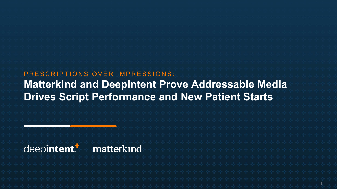## PRESCRIPTIONS OVER IMPRESSIONS: **Matterkind and DeepIntent Prove Addressable Media Drives Script Performance and New Patient Starts**

## deepintent.<sup>1</sup>

## matterkind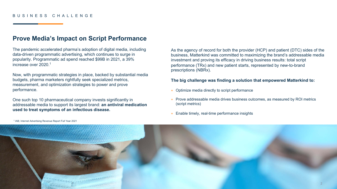#### BUSINESS CHALLENGE

### **Prove Media's Impact on Script Performance**

The pandemic accelerated pharma's adoption of digital media, including data-driven programmatic advertising, which continues to surge in popularity. Programmatic ad spend reached \$99B in 2021, a 39% increase over 2020.<sup>1</sup>

Now, with programmatic strategies in place, backed by substantial media budgets, pharma marketers rightfully seek specialized metrics, measurement, and optimization strategies to power and prove performance.

One such top 10 pharmaceutical company invests significantly in addressable media to support its largest brand: **an antiviral medication used to treat symptoms of an infectious disease.**

As the agency of record for both the provider (HCP) and patient (DTC) sides of the business, Matterkind was committed to maximizing the brand's addressable media investment and proving its efficacy in driving business results: total script performance (TRx) and new patient starts, represented by new-to-brand prescriptions (NBRx).

#### **The big challenge was finding a solution that empowered Matterkind to:**

- + Optimize media directly to script performance
- + Prove addressable media drives business outcomes, as measured by ROI metrics (script metrics)
- + Enable timely, real-time performance insights



1 IAB; Internet Advertising Revenue Report Full Year 2021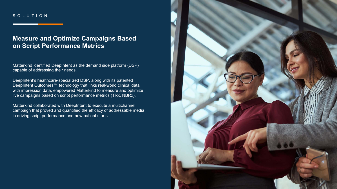#### SOLUTION

## **Measure and Optimize Campaigns Based on Script Performance Metrics**

Matterkind identified DeepIntent as the demand side platform (DSP) capable of addressing their needs.

DeepIntent's healthcare-specialized DSP, along with its patented DeepIntent Outcomes™ technology that links real-world clinical data with impression data, empowered Matterkind to measure and optimize live campaigns based on script performance metrics (TRx, NBRx).

Matterkind collaborated with DeepIntent to execute a multichannel campaign that proved and quantified the efficacy of addressable media in driving script performance and new patient starts.

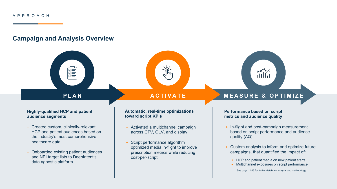## **Campaign and Analysis Overview**

圖

# **Highly-qualified HCP and patient**

**audience segments**

- + Created custom, clinically-relevant HCP and patient audiences based on the industry's most comprehensive healthcare data
- + Onboarded existing patient audiences and NPI target lists to DeepIntent's data agnostic platform

#### **Automatic, real-time optimizations toward script KPIs**

- + Activated a multichannel campaign across CTV, OLV, and display
- + Script performance algorithm optimized media in-flight to improve prescription metrics while reducing cost-per-script

## **PLAN ACTIVATE MEASURE & OPTIMIZE**

 $\frac{1}{\sqrt{2}}$ 

#### **Performance based on script metrics and audience quality**

- + In-flight and post-campaign measurement based on script performance and audience quality (AQ)
- + Custom analysis to inform and optimize future campaigns, that quantified the impact of:
	- + HCP and patient media on new patient starts
	- Multichannel exposures on script performance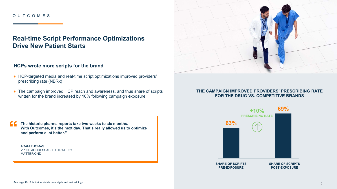## **Real-time Script Performance Optimizations Drive New Patient Starts**

#### **HCPs wrote more scripts for the brand**

- + HCP-targeted media and real-time script optimizations improved providers' prescribing rate (NBRx)
- + The campaign improved HCP reach and awareness, and thus share of scripts written for the brand increased by 10% following campaign exposure

**The historic pharma reports take two weeks to six months. With Outcomes, it's the next day. That's really allowed us to optimize and perform a lot better."**

ADAM THOMAS VP OF ADDRESSABLE STRATEGY MATTERKIND



#### **THE CAMPAIGN IMPROVED PROVIDERS' PRESCRIBING RATE FOR THE DRUG VS. COMPETITIVE BRANDS**

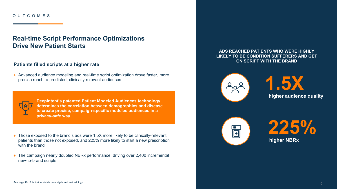## **Real-time Script Performance Optimizations Drive New Patient Starts**

#### **Patients filled scripts at a higher rate**

+ Advanced audience modeling and real-time script optimization drove faster, more precise reach to predicted, clinically-relevant audiences



**DeepIntent's patented Patient Modeled Audiences technology determines the correlation between demographics and disease to create precise, campaign-specific modeled audiences in a privacy-safe way**

- + Those exposed to the brand's ads were 1.5X more likely to be clinically-relevant patients than those not exposed, and 225% more likely to start a new prescription with the brand
- + The campaign nearly doubled NBRx performance, driving over 2,400 incremental new-to-brand scripts

#### **ADS REACHED PATIENTS WHO WERE HIGHLY LIKELY TO BE CONDITION SUFFERERS AND GET ON SCRIPT WITH THE BRAND**



**1.5X higher audience quality**



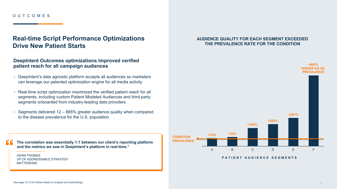## **Real-time Script Performance Optimizations Drive New Patient Starts**

### **DeepIntent Outcomes optimizations improved verified patient reach for all campaign audiences**

- + DeepIntent's data agnostic platform accepts all audiences so marketers can leverage our patented optimization engine for all media activity
- + Real-time script optimization maximized the verified patient reach for all segments, including custom Patient Modeled Audiences and third-party segments onboarded from industry-leading data providers
- $+$  Segments delivered 12 865% greater audience quality when compared to the disease prevalence for the U.S. population

**The correlation was essentially 1:1 between our client's reporting platform and the metrics we saw in DeepIntent's platform in real-time."**

ADAM THOMAS VP OF ADDRESSABLE STRATEGY MATTERKIND

#### **AUDIENCE QUALITY FOR EACH SEGMENT EXCEEDED THE PREVALENCE RATE FOR THE CONDITION**



**PATIENT AUDIENCE SEGMENTS**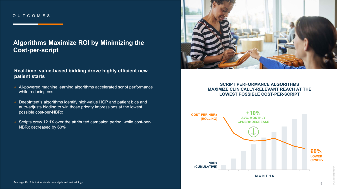## **Algorithms Maximize ROI by Minimizing the Cost-per-script**

#### **Real-time, value-based bidding drove highly efficient new patient starts**

- + AI-powered machine learning algorithms accelerated script performance while reducing cost
- + DeepIntent's algorithms identify high-value HCP and patient bids and auto-adjusts bidding to win those priority impressions at the lowest possible cost-per-NBRx
- + Scripts grew 12.1X over the attributed campaign period, while cost-per-NBRx decreased by 60%



#### **SCRIPT PERFORMANCE ALGORITHMS MAXIMIZE CLINICALLY-RELEVANT REACH AT THE LOWEST POSSIBLE COST-PER-SCRIPT**



© 2022 DeepIntent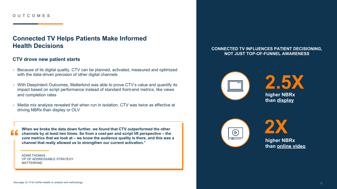## **Connected TV Helps Patients Make Informed Health Decisions**

#### **CTV drove new patient starts**

- + Because of its digital quality, CTV can be planned, activated, measured and optimized with the data-driven precision of other digital channels
- + With DeepIntent Outcomes, Matterkind was able to prove CTV's value and quantify its impact based on script performance instead of standard front-end metrics, like views and completion rates
- + Media mix analysis revealed that when run in isolation, CTV was twice as effective at driving NBRx than display or OLV

**When we broke the data down further, we found that CTV outperformed the other channels by at least two times. So from a cost-per and script lift perspective – the core metrics that we look at – we know the audience quality is there, and this was a channel that really allowed us to strengthen our current activation."**

ADAM THOMAS VP OF ADDRESSABLE STRATEGY MATTERKIND

#### **CONNECTED TV INFLUENCES PATIENT DECISIONING, NOT JUST TOP-OF-FUNNEL AWARENESS**



**2.5X higher NBRx than display**



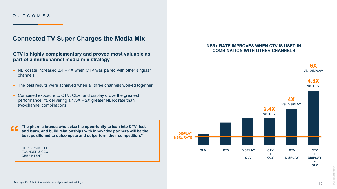## **Connected TV Super Charges the Media Mix**

#### **CTV is highly complementary and proved most valuable as part of a multichannel media mix strategy**

- + NBRx rate increased 2.4 4X when CTV was paired with other singular channels
- + The best results were achieved when all three channels worked together
- + Combined exposure to CTV, OLV, and display drove the greatest performance lift, delivering a 1.5X – 2X greater NBRx rate than two-channel combinations

**The pharma brands who seize the opportunity to lean into CTV, test and learn, and build relationships with innovative partners will be the best positioned to outcompete and outperform their competition."**

CHRIS PAQUETTE FOUNDER & CEO DEEPINTENT

4

#### **NBRx RATE IMPROVES WHEN CTV IS USED IN COMBINATION WITH OTHER CHANNELS**



© 2022 DeepIntent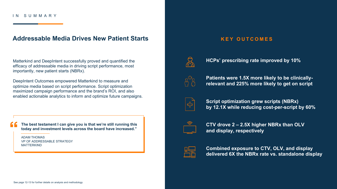#### IN SUMMARY

### **Addressable Media Drives New Patient Starts**

Matterkind and DeepIntent successfully proved and quantified the efficacy of addressable media in driving script performance, most importantly, new patient starts (NBRx).

DeepIntent Outcomes empowered Matterkind to measure and optimize media based on script performance. Script optimization maximized campaign performance and the brand's ROI, and also enabled actionable analytics to inform and optimize future campaigns.

**The best testament I can give you is that we're still running this today and investment levels across the board have increased."**

ADAM THOMAS VP OF ADDRESSABLE STRATEGY MATTERKIND

### **KEY OUTCOMES**



**HCPs' prescribing rate improved by 10%**



**Patients were 1.5X more likely to be clinicallyrelevant and 225% more likely to get on script**



**Script optimization grew scripts (NBRx) by 12.1X while reducing cost-per-script by 60%**



**CTV drove 2 – 2.5X higher NBRx than OLV and display, respectively**



**Combined exposure to CTV, OLV, and display delivered 6X the NBRx rate vs. standalone display**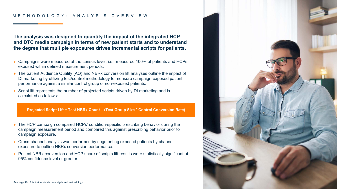#### METHODOLOGY: ANALYSIS OVERVIEW

**The analysis was designed to quantify the impact of the integrated HCP and DTC media campaign in terms of new patient starts and to understand the degree that multiple exposures drives incremental scripts for patients.**

- + Campaigns were measured at the census level, i.e., measured 100% of patients and HCPs exposed within defined measurement periods.
- + The patient Audience Quality (AQ) and NBRx conversion lift analyses outline the impact of DI marketing by utilizing test/control methodology to measure campaign-exposed patient performance against a similar control group of non-exposed patients.
- + Script lift represents the number of projected scripts driven by DI marketing and is calculated as follows:

**Projected Script Lift = Test NBRx Count – (Test Group Size \* Control Conversion Rate)**

- + The HCP campaign compared HCPs' condition-specific prescribing behavior during the campaign measurement period and compared this against prescribing behavior prior to campaign exposure.
- + Cross-channel analysis was performed by segmenting exposed patients by channel exposure to outline NBRx conversion performance.
- + Patient NBRx conversion and HCP share of scripts lift results were statistically significant at 95% confidence level or greater.

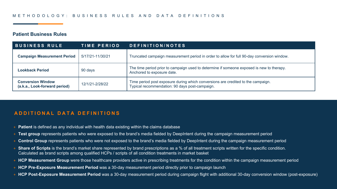#### **Patient Business Rules**

| <b>BUSINESS RULE</b>                                      | <b>TIME PERIOD</b> | DEFINITION/NOTES                                                                                                                   |
|-----------------------------------------------------------|--------------------|------------------------------------------------------------------------------------------------------------------------------------|
| <b>Campaign Measurement Period</b>                        | 5/17/21-11/30/21   | Truncated campaign measurement period in order to allow for full 90-day conversion window.                                         |
| Lookback Period                                           | 90 days            | The time period prior to campaign used to determine if someone exposed is new to therapy.<br>Anchored to exposure date.            |
| <b>Conversion Window</b><br>(a.k.a., Look-forward period) | 12/1/21-2/28/22    | Time period post exposure during which conversions are credited to the campaign.<br>Typical recommendation: 90 days post-campaign. |

### **ADDITIONAL DATA DEFINITIONS**

- + **Patient** is defined as any individual with health data existing within the claims database
- + **Test group** represents patients who were exposed to the brand's media fielded by DeepIntent during the campaign measurement period
- + **Control Group** represents patients who were not exposed to the brand's media fielded by DeepIntent during the campaign measurement period
- + Share of Scripts is the brand's market share represented by brand prescriptions as a % of all treatment scripts written for the specific condition. Calculated as brand scripts among qualified HCPs / scripts of all condition treatments in market basket
- + **HCP Measurement Group** were those healthcare providers active in prescribing treatments for the condition within the campaign measurement period
- + **HCP Pre-Exposure Measurement Period** was a 30-day measurement period directly prior to campaign launch
- + **HCP Post-Exposure Measurement Period** was a 30-day measurement period during campaign flight with additional 30-day conversion window (post-exposure)